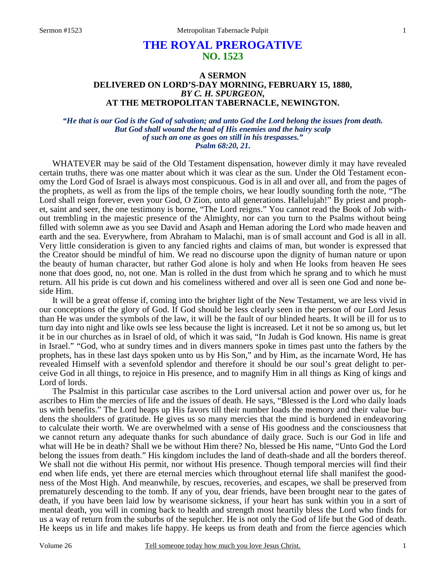# **THE ROYAL PREROGATIVE NO. 1523**

# **A SERMON DELIVERED ON LORD'S-DAY MORNING, FEBRUARY 15, 1880,** *BY C. H. SPURGEON,*  **AT THE METROPOLITAN TABERNACLE, NEWINGTON.**

## *"He that is our God is the God of salvation; and unto God the Lord belong the issues from death. But God shall wound the head of His enemies and the hairy scalp of such an one as goes on still in his trespasses." Psalm 68:20, 21.*

WHATEVER may be said of the Old Testament dispensation, however dimly it may have revealed certain truths, there was one matter about which it was clear as the sun. Under the Old Testament economy the Lord God of Israel is always most conspicuous. God is in all and over all, and from the pages of the prophets, as well as from the lips of the temple choirs, we hear loudly sounding forth the note, "The Lord shall reign forever, even your God, O Zion, unto all generations. Hallelujah!" By priest and prophet, saint and seer, the one testimony is borne, "The Lord reigns." You cannot read the Book of Job without trembling in the majestic presence of the Almighty, nor can you turn to the Psalms without being filled with solemn awe as you see David and Asaph and Heman adoring the Lord who made heaven and earth and the sea. Everywhere, from Abraham to Malachi, man is of small account and God is all in all. Very little consideration is given to any fancied rights and claims of man, but wonder is expressed that the Creator should be mindful of him. We read no discourse upon the dignity of human nature or upon the beauty of human character, but rather God alone is holy and when He looks from heaven He sees none that does good, no, not one. Man is rolled in the dust from which he sprang and to which he must return. All his pride is cut down and his comeliness withered and over all is seen one God and none beside Him.

 It will be a great offense if, coming into the brighter light of the New Testament, we are less vivid in our conceptions of the glory of God. If God should be less clearly seen in the person of our Lord Jesus than He was under the symbols of the law, it will be the fault of our blinded hearts. It will be ill for us to turn day into night and like owls see less because the light is increased. Let it not be so among us, but let it be in our churches as in Israel of old, of which it was said, "In Judah is God known. His name is great in Israel." "God, who at sundry times and in divers manners spoke in times past unto the fathers by the prophets, has in these last days spoken unto us by His Son," and by Him, as the incarnate Word, He has revealed Himself with a sevenfold splendor and therefore it should be our soul's great delight to perceive God in all things, to rejoice in His presence, and to magnify Him in all things as King of kings and Lord of lords.

 The Psalmist in this particular case ascribes to the Lord universal action and power over us, for he ascribes to Him the mercies of life and the issues of death. He says, "Blessed is the Lord who daily loads us with benefits." The Lord heaps up His favors till their number loads the memory and their value burdens the shoulders of gratitude. He gives us so many mercies that the mind is burdened in endeavoring to calculate their worth. We are overwhelmed with a sense of His goodness and the consciousness that we cannot return any adequate thanks for such abundance of daily grace. Such is our God in life and what will He be in death? Shall we be without Him there? No, blessed be His name, "Unto God the Lord belong the issues from death." His kingdom includes the land of death-shade and all the borders thereof. We shall not die without His permit, nor without His presence. Though temporal mercies will find their end when life ends, yet there are eternal mercies which throughout eternal life shall manifest the goodness of the Most High. And meanwhile, by rescues, recoveries, and escapes, we shall be preserved from prematurely descending to the tomb. If any of you, dear friends, have been brought near to the gates of death, if you have been laid low by wearisome sickness, if your heart has sunk within you in a sort of mental death, you will in coming back to health and strength most heartily bless the Lord who finds for us a way of return from the suburbs of the sepulcher. He is not only the God of life but the God of death. He keeps us in life and makes life happy. He keeps us from death and from the fierce agencies which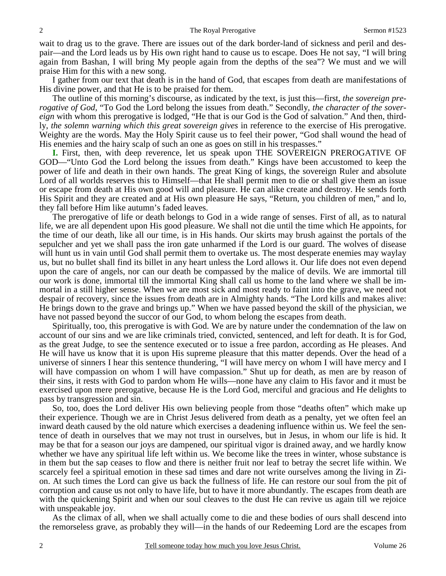wait to drag us to the grave. There are issues out of the dark border-land of sickness and peril and despair—and the Lord leads us by His own right hand to cause us to escape. Does He not say, "I will bring again from Bashan, I will bring My people again from the depths of the sea"? We must and we will praise Him for this with a new song.

 I gather from our text that death is in the hand of God, that escapes from death are manifestations of His divine power, and that He is to be praised for them.

 The outline of this morning's discourse, as indicated by the text, is just this—first, *the sovereign prerogative of God,* "To God the Lord belong the issues from death." Secondly, *the character of the sovereign* with whom this prerogative is lodged, "He that is our God is the God of salvation." And then, thirdly, *the solemn warning which this great sovereign gives* in reference to the exercise of His prerogative. Weighty are the words. May the Holy Spirit cause us to feel their power, "God shall wound the head of His enemies and the hairy scalp of such an one as goes on still in his trespasses."

**I.** First, then, with deep reverence, let us speak upon THE SOVEREIGN PREROGATIVE OF GOD—"Unto God the Lord belong the issues from death." Kings have been accustomed to keep the power of life and death in their own hands. The great King of kings, the sovereign Ruler and absolute Lord of all worlds reserves this to Himself—that He shall permit men to die or shall give them an issue or escape from death at His own good will and pleasure. He can alike create and destroy. He sends forth His Spirit and they are created and at His own pleasure He says, "Return, you children of men," and lo, they fall before Him like autumn's faded leaves.

 The prerogative of life or death belongs to God in a wide range of senses. First of all, as to natural life, we are all dependent upon His good pleasure. We shall not die until the time which He appoints, for the time of our death, like all our time, is in His hands. Our skirts may brush against the portals of the sepulcher and yet we shall pass the iron gate unharmed if the Lord is our guard. The wolves of disease will hunt us in vain until God shall permit them to overtake us. The most desperate enemies may waylay us, but no bullet shall find its billet in any heart unless the Lord allows it. Our life does not even depend upon the care of angels, nor can our death be compassed by the malice of devils. We are immortal till our work is done, immortal till the immortal King shall call us home to the land where we shall be immortal in a still higher sense. When we are most sick and most ready to faint into the grave, we need not despair of recovery, since the issues from death are in Almighty hands. "The Lord kills and makes alive: He brings down to the grave and brings up." When we have passed beyond the skill of the physician, we have not passed beyond the succor of our God, to whom belong the escapes from death.

 Spiritually, too, this prerogative is with God. We are by nature under the condemnation of the law on account of our sins and we are like criminals tried, convicted, sentenced, and left for death. It is for God, as the great Judge, to see the sentence executed or to issue a free pardon, according as He pleases. And He will have us know that it is upon His supreme pleasure that this matter depends. Over the head of a universe of sinners I hear this sentence thundering, "I will have mercy on whom I will have mercy and I will have compassion on whom I will have compassion." Shut up for death, as men are by reason of their sins, it rests with God to pardon whom He wills—none have any claim to His favor and it must be exercised upon mere prerogative, because He is the Lord God, merciful and gracious and He delights to pass by transgression and sin.

 So, too, does the Lord deliver His own believing people from those "deaths often" which make up their experience. Though we are in Christ Jesus delivered from death as a penalty, yet we often feel an inward death caused by the old nature which exercises a deadening influence within us. We feel the sentence of death in ourselves that we may not trust in ourselves, but in Jesus, in whom our life is hid. It may be that for a season our joys are dampened, our spiritual vigor is drained away, and we hardly know whether we have any spiritual life left within us. We become like the trees in winter, whose substance is in them but the sap ceases to flow and there is neither fruit nor leaf to betray the secret life within. We scarcely feel a spiritual emotion in these sad times and dare not write ourselves among the living in Zion. At such times the Lord can give us back the fullness of life. He can restore our soul from the pit of corruption and cause us not only to have life, but to have it more abundantly. The escapes from death are with the quickening Spirit and when our soul cleaves to the dust He can revive us again till we rejoice with unspeakable joy.

 As the climax of all, when we shall actually come to die and these bodies of ours shall descend into the remorseless grave, as probably they will—in the hands of our Redeeming Lord are the escapes from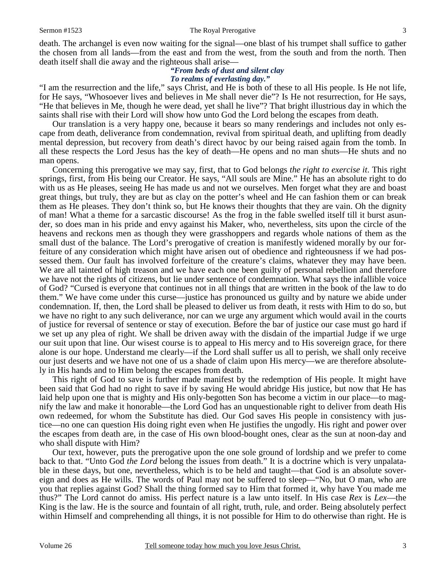### Sermon #1523 The Royal Prerogative 3

death. The archangel is even now waiting for the signal—one blast of his trumpet shall suffice to gather the chosen from all lands—from the east and from the west, from the south and from the north. Then death itself shall die away and the righteous shall arise—

## *"From beds of dust and silent clay To realms of everlasting day."*

"I am the resurrection and the life," says Christ, and He is both of these to all His people. Is He not life, for He says, "Whosoever lives and believes in Me shall never die"? Is He not resurrection, for He says, "He that believes in Me, though he were dead, yet shall he live"? That bright illustrious day in which the saints shall rise with their Lord will show how unto God the Lord belong the escapes from death.

 Our translation is a very happy one, because it bears so many renderings and includes not only escape from death, deliverance from condemnation, revival from spiritual death, and uplifting from deadly mental depression, but recovery from death's direct havoc by our being raised again from the tomb. In all these respects the Lord Jesus has the key of death—He opens and no man shuts—He shuts and no man opens.

 Concerning this prerogative we may say, first, that to God belongs *the right to exercise it*. This right springs, first, from His being our Creator. He says, "All souls are Mine." He has an absolute right to do with us as He pleases, seeing He has made us and not we ourselves. Men forget what they are and boast great things, but truly, they are but as clay on the potter's wheel and He can fashion them or can break them as He pleases. They don't think so, but He knows their thoughts that they are vain. Oh the dignity of man! What a theme for a sarcastic discourse! As the frog in the fable swelled itself till it burst asunder, so does man in his pride and envy against his Maker, who, nevertheless, sits upon the circle of the heavens and reckons men as though they were grasshoppers and regards whole nations of them as the small dust of the balance. The Lord's prerogative of creation is manifestly widened morally by our forfeiture of any consideration which might have arisen out of obedience and righteousness if we had possessed them. Our fault has involved forfeiture of the creature's claims, whatever they may have been. We are all tainted of high treason and we have each one been guilty of personal rebellion and therefore we have not the rights of citizens, but lie under sentence of condemnation. What says the infallible voice of God? "Cursed is everyone that continues not in all things that are written in the book of the law to do them." We have come under this curse—justice has pronounced us guilty and by nature we abide under condemnation. If, then, the Lord shall be pleased to deliver us from death, it rests with Him to do so, but we have no right to any such deliverance, nor can we urge any argument which would avail in the courts of justice for reversal of sentence or stay of execution. Before the bar of justice our case must go hard if we set up any plea of right. We shall be driven away with the disdain of the impartial Judge if we urge our suit upon that line. Our wisest course is to appeal to His mercy and to His sovereign grace, for there alone is our hope. Understand me clearly—if the Lord shall suffer us all to perish, we shall only receive our just deserts and we have not one of us a shade of claim upon His mercy—we are therefore absolutely in His hands and to Him belong the escapes from death.

 This right of God to save is further made manifest by the redemption of His people. It might have been said that God had no right to save if by saving He would abridge His justice, but now that He has laid help upon one that is mighty and His only-begotten Son has become a victim in our place—to magnify the law and make it honorable—the Lord God has an unquestionable right to deliver from death His own redeemed, for whom the Substitute has died. Our God saves His people in consistency with justice—no one can question His doing right even when He justifies the ungodly. His right and power over the escapes from death are, in the case of His own blood-bought ones, clear as the sun at noon-day and who shall dispute with Him?

 Our text, however, puts the prerogative upon the one sole ground of lordship and we prefer to come back to that. "Unto God *the Lord* belong the issues from death." It is a doctrine which is very unpalatable in these days, but one, nevertheless, which is to be held and taught—that God is an absolute sovereign and does as He wills. The words of Paul may not be suffered to sleep—"No, but O man, who are you that replies against God? Shall the thing formed say to Him that formed it, why have You made me thus?" The Lord cannot do amiss. His perfect nature is a law unto itself. In His case *Rex* is *Lex*—the King is the law. He is the source and fountain of all right, truth, rule, and order. Being absolutely perfect within Himself and comprehending all things, it is not possible for Him to do otherwise than right. He is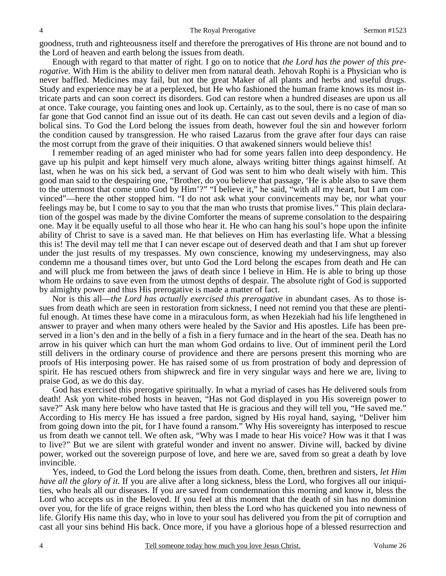goodness, truth and righteousness itself and therefore the prerogatives of His throne are not bound and to the Lord of heaven and earth belong the issues from death.

 Enough with regard to that matter of right. I go on to notice that *the Lord has the power of this prerogative.* With Him is the ability to deliver men from natural death. Jehovah Rophi is a Physician who is never baffled. Medicines may fail, but not the great Maker of all plants and herbs and useful drugs. Study and experience may be at a perplexed, but He who fashioned the human frame knows its most intricate parts and can soon correct its disorders. God can restore when a hundred diseases are upon us all at once. Take courage, you fainting ones and look up. Certainly, as to the soul, there is no case of man so far gone that God cannot find an issue out of its death. He can cast out seven devils and a legion of diabolical sins. To God the Lord belong the issues from death, however foul the sin and however forlorn the condition caused by transgression. He who raised Lazarus from the grave after four days can raise the most corrupt from the grave of their iniquities. O that awakened sinners would believe this!

 I remember reading of an aged minister who had for some years fallen into deep despondency. He gave up his pulpit and kept himself very much alone, always writing bitter things against himself. At last, when he was on his sick bed, a servant of God was sent to him who dealt wisely with him. This good man said to the despairing one, "Brother, do you believe that passage, 'He is able also to save them to the uttermost that come unto God by Him'?" "I believe it," he said, "with all my heart, but I am convinced"—here the other stopped him. "I do not ask what your convincements may be, nor what your feelings may be, but I come to say to you that the man who trusts that promise lives." This plain declaration of the gospel was made by the divine Comforter the means of supreme consolation to the despairing one. May it be equally useful to all those who hear it. He who can hang his soul's hope upon the infinite ability of Christ to save is a saved man. He that believes on Him has everlasting life. What a blessing this is! The devil may tell me that I can never escape out of deserved death and that I am shut up forever under the just results of my trespasses. My own conscience, knowing my undeservingness, may also condemn me a thousand times over, but unto God the Lord belong the escapes from death and He can and will pluck me from between the jaws of death since I believe in Him. He is able to bring up those whom He ordains to save even from the utmost depths of despair. The absolute right of God is supported by almighty power and thus His prerogative is made a matter of fact.

 Nor is this all—*the Lord has actually exercised this prerogative* in abundant cases. As to those issues from death which are seen in restoration from sickness, I need not remind you that these are plentiful enough. At times these have come in a miraculous form, as when Hezekiah had his life lengthened in answer to prayer and when many others were healed by the Savior and His apostles. Life has been preserved in a lion's den and in the belly of a fish in a fiery furnace and in the heart of the sea. Death has no arrow in his quiver which can hurt the man whom God ordains to live. Out of imminent peril the Lord still delivers in the ordinary course of providence and there are persons present this morning who are proofs of His interposing power. He has raised some of us from prostration of body and depression of spirit. He has rescued others from shipwreck and fire in very singular ways and here we are, living to praise God, as we do this day.

 God has exercised this prerogative spiritually. In what a myriad of cases has He delivered souls from death! Ask yon white-robed hosts in heaven, "Has not God displayed in you His sovereign power to save?" Ask many here below who have tasted that He is gracious and they will tell you, "He saved me." According to His mercy He has issued a free pardon, signed by His royal hand, saying, "Deliver him from going down into the pit, for I have found a ransom." Why His sovereignty has interposed to rescue us from death we cannot tell. We often ask, "Why was I made to hear His voice? How was it that I was to live?" But we are silent with grateful wonder and invent no answer. Divine will, backed by divine power, worked out the sovereign purpose of love, and here we are, saved from so great a death by love invincible.

 Yes, indeed, to God the Lord belong the issues from death. Come, then, brethren and sisters, *let Him have all the glory of it.* If you are alive after a long sickness, bless the Lord, who forgives all our iniquities, who heals all our diseases. If you are saved from condemnation this morning and know it, bless the Lord who accepts us in the Beloved. If you feel at this moment that the death of sin has no dominion over you, for the life of grace reigns within, then bless the Lord who has quickened you into newness of life. Glorify His name this day, who in love to your soul has delivered you from the pit of corruption and cast all your sins behind His back. Once more, if you have a glorious hope of a blessed resurrection and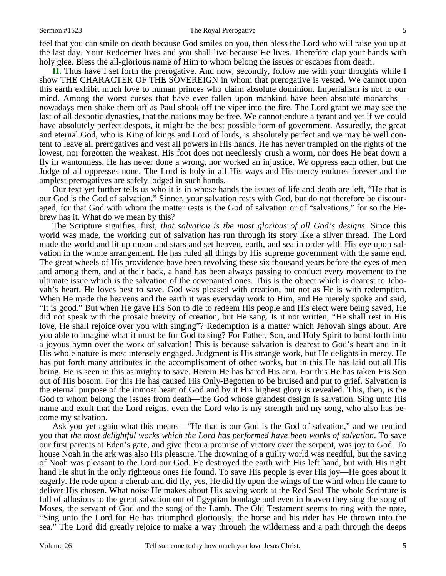#### Sermon #1523 The Royal Prerogative 5

feel that you can smile on death because God smiles on you, then bless the Lord who will raise you up at the last day. Your Redeemer lives and you shall live because He lives. Therefore clap your hands with holy glee. Bless the all-glorious name of Him to whom belong the issues or escapes from death.

**II.** Thus have I set forth the prerogative. And now, secondly, follow me with your thoughts while I show THE CHARACTER OF THE SOVEREIGN in whom that prerogative is vested. We cannot upon this earth exhibit much love to human princes who claim absolute dominion. Imperialism is not to our mind. Among the worst curses that have ever fallen upon mankind have been absolute monarchs nowadays men shake them off as Paul shook off the viper into the fire. The Lord grant we may see the last of all despotic dynasties, that the nations may be free. We cannot endure a tyrant and yet if we could have absolutely perfect despots, it might be the best possible form of government. Assuredly, the great and eternal God, who is King of kings and Lord of lords, is absolutely perfect and we may be well content to leave all prerogatives and vest all powers in His hands. He has never trampled on the rights of the lowest, nor forgotten the weakest. His foot does not needlessly crush a worm, nor does He beat down a fly in wantonness. He has never done a wrong, nor worked an injustice. *We* oppress each other, but the Judge of all oppresses none. The Lord is holy in all His ways and His mercy endures forever and the amplest prerogatives are safely lodged in such hands.

 Our text yet further tells us who it is in whose hands the issues of life and death are left, "He that is our God is the God of salvation." Sinner, your salvation rests with God, but do not therefore be discouraged, for that God with whom the matter rests is the God of salvation or of "salvations," for so the Hebrew has it. What do we mean by this?

 The Scripture signifies, first, *that salvation is the most glorious of all God's designs*. Since this world was made, the working out of salvation has run through its story like a silver thread. The Lord made the world and lit up moon and stars and set heaven, earth, and sea in order with His eye upon salvation in the whole arrangement. He has ruled all things by His supreme government with the same end. The great wheels of His providence have been revolving these six thousand years before the eyes of men and among them, and at their back, a hand has been always passing to conduct every movement to the ultimate issue which is the salvation of the covenanted ones. This is the object which is dearest to Jehovah's heart. He loves best to save. God was pleased with creation, but not as He is with redemption. When He made the heavens and the earth it was everyday work to Him, and He merely spoke and said, "It is good." But when He gave His Son to die to redeem His people and His elect were being saved, He did not speak with the prosaic brevity of creation, but He sang. Is it not written, "He shall rest in His love, He shall rejoice over you with singing"? Redemption is a matter which Jehovah sings about. Are you able to imagine what it must be for God to sing? For Father, Son, and Holy Spirit to burst forth into a joyous hymn over the work of salvation! This is because salvation is dearest to God's heart and in it His whole nature is most intensely engaged. Judgment is His strange work, but He delights in mercy. He has put forth many attributes in the accomplishment of other works, but in this He has laid out all His being. He is seen in this as mighty to save. Herein He has bared His arm. For this He has taken His Son out of His bosom. For this He has caused His Only-Begotten to be bruised and put to grief. Salvation is the eternal purpose of the inmost heart of God and by it His highest glory is revealed. This, then, is the God to whom belong the issues from death—the God whose grandest design is salvation. Sing unto His name and exult that the Lord reigns, even the Lord who is my strength and my song, who also has become my salvation.

 Ask you yet again what this means—"He that is our God is the God of salvation," and we remind you that *the most delightful works which the Lord has performed have been works of salvation*. To save our first parents at Eden's gate, and give them a promise of victory over the serpent, was joy to God. To house Noah in the ark was also His pleasure. The drowning of a guilty world was needful, but the saving of Noah was pleasant to the Lord our God. He destroyed the earth with His left hand, but with His right hand He shut in the only righteous ones He found. To save His people is ever His joy—He goes about it eagerly. He rode upon a cherub and did fly, yes, He did fly upon the wings of the wind when He came to deliver His chosen. What noise He makes about His saving work at the Red Sea! The whole Scripture is full of allusions to the great salvation out of Egyptian bondage and even in heaven they sing the song of Moses, the servant of God and the song of the Lamb. The Old Testament seems to ring with the note, "Sing unto the Lord for He has triumphed gloriously, the horse and his rider has He thrown into the sea." The Lord did greatly rejoice to make a way through the wilderness and a path through the deeps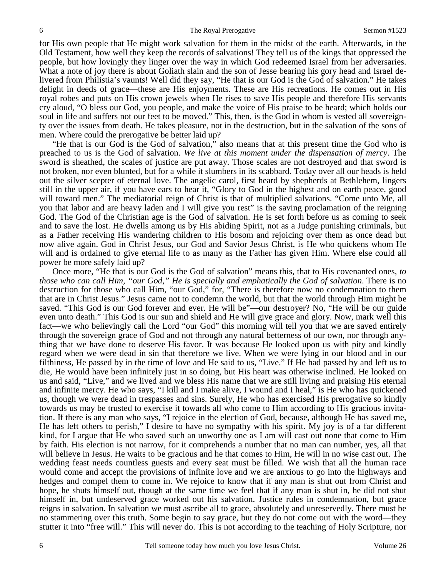for His own people that He might work salvation for them in the midst of the earth. Afterwards, in the Old Testament, how well they keep the records of salvations! They tell us of the kings that oppressed the people, but how lovingly they linger over the way in which God redeemed Israel from her adversaries. What a note of joy there is about Goliath slain and the son of Jesse bearing his gory head and Israel delivered from Philistia's vaunts! Well did they say, "He that is our God is the God of salvation." He takes delight in deeds of grace—these are His enjoyments. These are His recreations. He comes out in His royal robes and puts on His crown jewels when He rises to save His people and therefore His servants cry aloud, "O bless our God, you people, and make the voice of His praise to be heard; which holds our soul in life and suffers not our feet to be moved." This, then, is the God in whom is vested all sovereignty over the issues from death. He takes pleasure, not in the destruction, but in the salvation of the sons of men. Where could the prerogative be better laid up?

 "He that is our God is the God of salvation," also means that at this present time the God who is preached to us is the God of salvation. *We live at this moment under the dispensation of mercy*. The sword is sheathed, the scales of justice are put away. Those scales are not destroyed and that sword is not broken, nor even blunted, but for a while it slumbers in its scabbard. Today over all our heads is held out the silver scepter of eternal love. The angelic carol, first heard by shepherds at Bethlehem, lingers still in the upper air, if you have ears to hear it, "Glory to God in the highest and on earth peace, good will toward men." The mediatorial reign of Christ is that of multiplied salvations. "Come unto Me, all you that labor and are heavy laden and I will give you rest" is the saving proclamation of the reigning God. The God of the Christian age is the God of salvation. He is set forth before us as coming to seek and to save the lost. He dwells among us by His abiding Spirit, not as a Judge punishing criminals, but as a Father receiving His wandering children to His bosom and rejoicing over them as once dead but now alive again. God in Christ Jesus, our God and Savior Jesus Christ, is He who quickens whom He will and is ordained to give eternal life to as many as the Father has given Him. Where else could all power be more safely laid up?

 Once more, "He that is our God is the God of salvation" means this, that to His covenanted ones, *to those who can call Him, "our God," He is specially and emphatically the God of salvation*. There is no destruction for those who call Him, "our God," for, "There is therefore now no condemnation to them that are in Christ Jesus." Jesus came not to condemn the world, but that the world through Him might be saved. "This God is our God forever and ever. He will be"—our destroyer? No, "He will be our guide even unto death." This God is our sun and shield and He will give grace and glory. Now, mark well this fact—we who believingly call the Lord "our God" this morning will tell you that we are saved entirely through the sovereign grace of God and not through any natural betterness of our own, nor through anything that we have done to deserve His favor. It was because He looked upon us with pity and kindly regard when we were dead in sin that therefore we live. When we were lying in our blood and in our filthiness, He passed by in the time of love and He said to us, "Live." If He had passed by and left us to die, He would have been infinitely just in so doing, but His heart was otherwise inclined. He looked on us and said, "Live," and we lived and we bless His name that we are still living and praising His eternal and infinite mercy. He who says, "I kill and I make alive, I wound and I heal," is He who has quickened us, though we were dead in trespasses and sins. Surely, He who has exercised His prerogative so kindly towards us may be trusted to exercise it towards all who come to Him according to His gracious invitation. If there is any man who says, "I rejoice in the election of God, because, although He has saved me, He has left others to perish," I desire to have no sympathy with his spirit. My joy is of a far different kind, for I argue that He who saved such an unworthy one as I am will cast out none that come to Him by faith. His election is not narrow, for it comprehends a number that no man can number, yes, all that will believe in Jesus. He waits to be gracious and he that comes to Him, He will in no wise cast out. The wedding feast needs countless guests and every seat must be filled. We wish that all the human race would come and accept the provisions of infinite love and we are anxious to go into the highways and hedges and compel them to come in. We rejoice to know that if any man is shut out from Christ and hope, he shuts himself out, though at the same time we feel that if any man is shut in, he did not shut himself in, but undeserved grace worked out his salvation. Justice rules in condemnation, but grace reigns in salvation. In salvation we must ascribe all to grace, absolutely and unreservedly. There must be no stammering over this truth. Some begin to say grace, but they do not come out with the word—they stutter it into "free will." This will never do. This is not according to the teaching of Holy Scripture, nor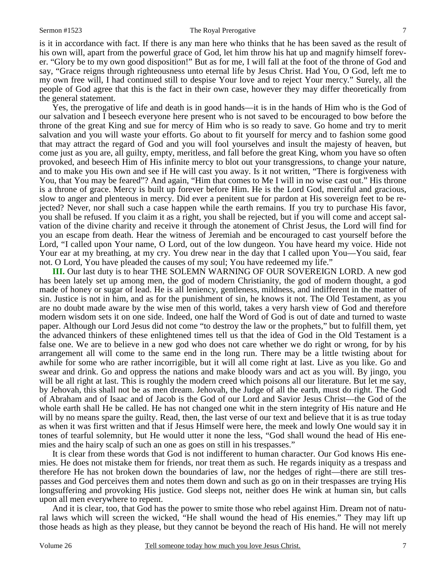#### Sermon #1523 The Royal Prerogative 7

is it in accordance with fact. If there is any man here who thinks that he has been saved as the result of his own will, apart from the powerful grace of God, let him throw his hat up and magnify himself forever. "Glory be to my own good disposition!" But as for me, I will fall at the foot of the throne of God and say, "Grace reigns through righteousness unto eternal life by Jesus Christ. Had You, O God, left me to my own free will, I had continued still to despise Your love and to reject Your mercy." Surely, all the people of God agree that this is the fact in their own case, however they may differ theoretically from the general statement.

 Yes, the prerogative of life and death is in good hands—it is in the hands of Him who is the God of our salvation and I beseech everyone here present who is not saved to be encouraged to bow before the throne of the great King and sue for mercy of Him who is so ready to save. Go home and try to merit salvation and you will waste your efforts. Go about to fit yourself for mercy and to fashion some good that may attract the regard of God and you will fool yourselves and insult the majesty of heaven, but come just as you are, all guilty, empty, meritless, and fall before the great King, whom you have so often provoked, and beseech Him of His infinite mercy to blot out your transgressions, to change your nature, and to make you His own and see if He will cast you away. Is it not written, "There is forgiveness with You, that You may be feared"? And again, "Him that comes to Me I will in no wise cast out." His throne is a throne of grace. Mercy is built up forever before Him. He is the Lord God, merciful and gracious, slow to anger and plenteous in mercy. Did ever a penitent sue for pardon at His sovereign feet to be rejected? Never, nor shall such a case happen while the earth remains. If you try to purchase His favor, you shall be refused. If you claim it as a right, you shall be rejected, but if you will come and accept salvation of the divine charity and receive it through the atonement of Christ Jesus, the Lord will find for you an escape from death. Hear the witness of Jeremiah and be encouraged to cast yourself before the Lord, "I called upon Your name, O Lord, out of the low dungeon. You have heard my voice. Hide not Your ear at my breathing, at my cry. You drew near in the day that I called upon You—You said, fear not. O Lord, You have pleaded the causes of my soul; You have redeemed my life."

**III.** Our last duty is to hear THE SOLEMN WARNING OF OUR SOVEREIGN LORD. A new god has been lately set up among men, the god of modern Christianity, the god of modern thought, a god made of honey or sugar of lead. He is all leniency, gentleness, mildness, and indifferent in the matter of sin. Justice is not in him, and as for the punishment of sin, he knows it not. The Old Testament, as you are no doubt made aware by the wise men of this world, takes a very harsh view of God and therefore modern wisdom sets it on one side. Indeed, one half the Word of God is out of date and turned to waste paper. Although our Lord Jesus did not come "to destroy the law or the prophets," but to fulfill them, yet the advanced thinkers of these enlightened times tell us that the idea of God in the Old Testament is a false one. We are to believe in a new god who does not care whether we do right or wrong, for by his arrangement all will come to the same end in the long run. There may be a little twisting about for awhile for some who are rather incorrigible, but it will all come right at last. Live as you like. Go and swear and drink. Go and oppress the nations and make bloody wars and act as you will. By jingo, you will be all right at last. This is roughly the modern creed which poisons all our literature. But let me say, by Jehovah, this shall not be as men dream. Jehovah, the Judge of all the earth, must do right. The God of Abraham and of Isaac and of Jacob is the God of our Lord and Savior Jesus Christ—the God of the whole earth shall He be called. He has not changed one whit in the stern integrity of His nature and He will by no means spare the guilty. Read, then, the last verse of our text and believe that it is as true today as when it was first written and that if Jesus Himself were here, the meek and lowly One would say it in tones of tearful solemnity, but He would utter it none the less, "God shall wound the head of His enemies and the hairy scalp of such an one as goes on still in his trespasses."

 It is clear from these words that God is not indifferent to human character. Our God knows His enemies. He does not mistake them for friends, nor treat them as such. He regards iniquity as a trespass and therefore He has not broken down the boundaries of law, nor the hedges of right—there are still trespasses and God perceives them and notes them down and such as go on in their trespasses are trying His longsuffering and provoking His justice. God sleeps not, neither does He wink at human sin, but calls upon all men everywhere to repent.

 And it is clear, too, that God has the power to smite those who rebel against Him. Dream not of natural laws which will screen the wicked, "He shall wound the head of His enemies." They may lift up those heads as high as they please, but they cannot be beyond the reach of His hand. He will not merely